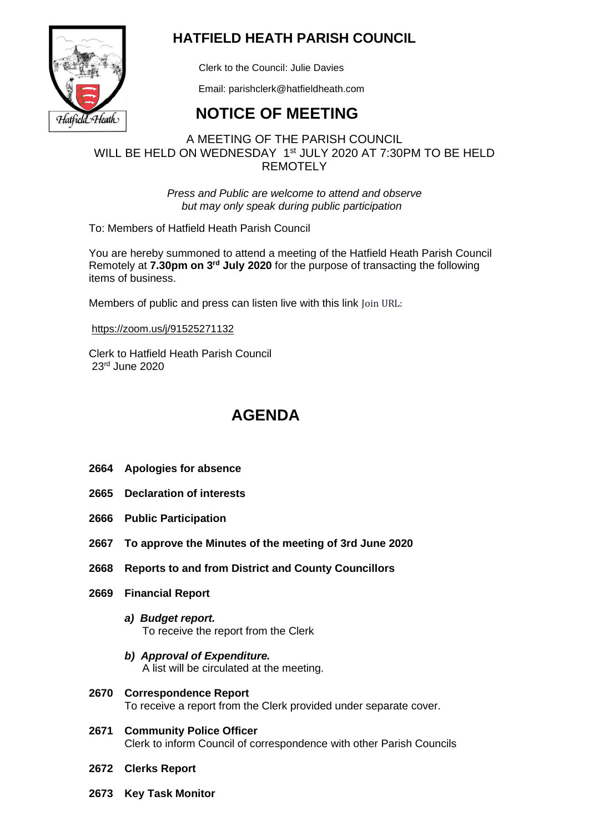

## **HATFIELD HEATH PARISH COUNCIL**

Clerk to the Council: Julie Davies

Email: parishclerk@hatfieldheath.com

# **NOTICE OF MEETING**

## A MEETING OF THE PARISH COUNCIL WILL BE HELD ON WEDNESDAY 1<sup>st</sup> JULY 2020 AT 7:30PM TO BE HELD **REMOTELY**

*Press and Public are welcome to attend and observe but may only speak during public participation*

To: Members of Hatfield Heath Parish Council

You are hereby summoned to attend a meeting of the Hatfield Heath Parish Council Remotely at 7.30pm on 3<sup>rd</sup> July 2020 for the purpose of transacting the following items of business.

Members of public and press can listen live with this link Join URL:

<https://zoom.us/j/91525271132>

Clerk to Hatfield Heath Parish Council 23 rd June 2020

# **AGENDA**

- **2664 Apologies for absence**
- **2665 Declaration of interests**
- **2666 Public Participation**
- **2667 To approve the Minutes of the meeting of 3rd June 2020**
- **2668 Reports to and from District and County Councillors**
- **2669 Financial Report**
	- *a) Budget report.*  To receive the report from the Clerk
	- *b) Approval of Expenditure.*  A list will be circulated at the meeting.
- **2670 Correspondence Report** To receive a report from the Clerk provided under separate cover.
- **2671 Community Police Officer** Clerk to inform Council of correspondence with other Parish Councils
- **2672 Clerks Report**
- **2673 Key Task Monitor**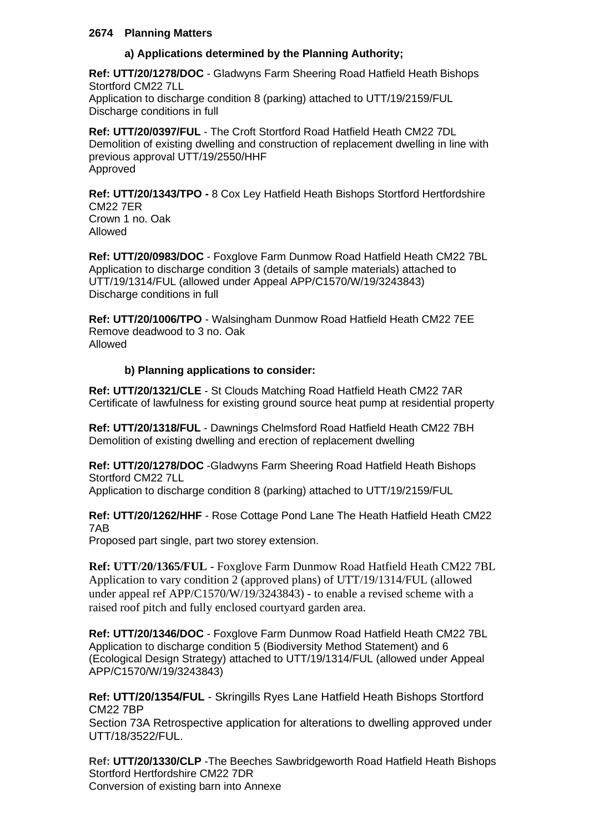### **2674 Planning Matters**

## **a) Applications determined by the Planning Authority;**

**Ref: UTT/20/1278/DOC** - Gladwyns Farm Sheering Road Hatfield Heath Bishops Stortford CM22 7LL Application to discharge condition 8 (parking) attached to UTT/19/2159/FUL Discharge conditions in full

**Ref: UTT/20/0397/FUL** - The Croft Stortford Road Hatfield Heath CM22 7DL Demolition of existing dwelling and construction of replacement dwelling in line with previous approval UTT/19/2550/HHF Approved

**Ref: UTT/20/1343/TPO -** 8 Cox Ley Hatfield Heath Bishops Stortford Hertfordshire CM22 7ER Crown 1 no. Oak Allowed

**Ref: UTT/20/0983/DOC** - Foxglove Farm Dunmow Road Hatfield Heath CM22 7BL Application to discharge condition 3 (details of sample materials) attached to UTT/19/1314/FUL (allowed under Appeal APP/C1570/W/19/3243843) Discharge conditions in full

**Ref: UTT/20/1006/TPO** - Walsingham Dunmow Road Hatfield Heath CM22 7EE Remove deadwood to 3 no. Oak Allowed

### **b) Planning applications to consider:**

**Ref: UTT/20/1321/CLE** - St Clouds Matching Road Hatfield Heath CM22 7AR Certificate of lawfulness for existing ground source heat pump at residential property

**Ref: UTT/20/1318/FUL** - Dawnings Chelmsford Road Hatfield Heath CM22 7BH Demolition of existing dwelling and erection of replacement dwelling

**Ref: UTT/20/1278/DOC** -Gladwyns Farm Sheering Road Hatfield Heath Bishops Stortford CM22 7LL

Application to discharge condition 8 (parking) attached to UTT/19/2159/FUL

**Ref: UTT/20/1262/HHF** - Rose Cottage Pond Lane The Heath Hatfield Heath CM22 7AB

Proposed part single, part two storey extension.

**Ref: UTT/20/1365/FUL** - Foxglove Farm Dunmow Road Hatfield Heath CM22 7BL Application to vary condition 2 (approved plans) of UTT/19/1314/FUL (allowed under appeal ref APP/C1570/W/19/3243843) - to enable a revised scheme with a raised roof pitch and fully enclosed courtyard garden area.

**Ref: UTT/20/1346/DOC** - Foxglove Farm Dunmow Road Hatfield Heath CM22 7BL Application to discharge condition 5 (Biodiversity Method Statement) and 6 (Ecological Design Strategy) attached to UTT/19/1314/FUL (allowed under Appeal APP/C1570/W/19/3243843)

**Ref: UTT/20/1354/FUL** - Skringills Ryes Lane Hatfield Heath Bishops Stortford CM22 7BP

Section 73A Retrospective application for alterations to dwelling approved under UTT/18/3522/FUL.

**Ref: UTT/20/1330/CLP** -The Beeches Sawbridgeworth Road Hatfield Heath Bishops Stortford Hertfordshire CM22 7DR Conversion of existing barn into Annexe